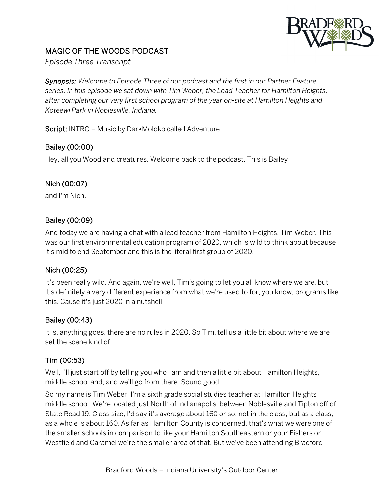

# MAGIC OF THE WOODS PODCAST

*Episode Three Transcript*

*Synopsis: Welcome to Episode Three of our podcast and the first in our Partner Feature series. In this episode we sat down with Tim Weber, the Lead Teacher for Hamilton Heights, after completing our very first school program of the year on-site at Hamilton Heights and Koteewi Park in Noblesville, Indiana.*

Script: INTRO – Music by DarkMoloko called Adventure

## Bailey (00:00)

Hey, all you Woodland creatures. Welcome back to the podcast. This is Bailey

## Nich (00:07)

and I'm Nich.

## Bailey (00:09)

And today we are having a chat with a lead teacher from Hamilton Heights, Tim Weber. This was our first environmental education program of 2020, which is wild to think about because it's mid to end September and this is the literal first group of 2020.

## Nich (00:25)

It's been really wild. And again, we're well, Tim's going to let you all know where we are, but it's definitely a very different experience from what we're used to for, you know, programs like this. Cause it's just 2020 in a nutshell.

## Bailey (00:43)

It is, anything goes, there are no rules in 2020. So Tim, tell us a little bit about where we are set the scene kind of…

## Tim (00:53)

Well, I'll just start off by telling you who I am and then a little bit about Hamilton Heights, middle school and, and we'll go from there. Sound good.

So my name is Tim Weber. I'm a sixth grade social studies teacher at Hamilton Heights middle school. We're located just North of Indianapolis, between Noblesville and Tipton off of State Road 19. Class size, I'd say it's average about 160 or so, not in the class, but as a class, as a whole is about 160. As far as Hamilton County is concerned, that's what we were one of the smaller schools in comparison to like your Hamilton Southeastern or your Fishers or Westfield and Caramel we're the smaller area of that. But we've been attending Bradford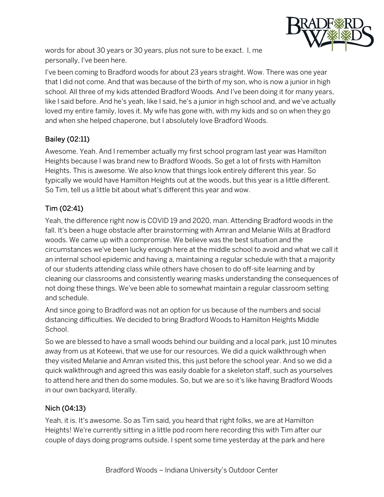

words for about 30 years or 30 years, plus not sure to be exact. I, me personally, I've been here.

I've been coming to Bradford woods for about 23 years straight. Wow. There was one year that I did not come. And that was because of the birth of my son, who is now a junior in high school. All three of my kids attended Bradford Woods. And I've been doing it for many years, like I said before. And he's yeah, like I said, he's a junior in high school and, and we've actually loved my entire family, loves it. My wife has gone with, with my kids and so on when they go and when she helped chaperone, but I absolutely love Bradford Woods.

## Bailey (02:11)

Awesome. Yeah. And I remember actually my first school program last year was Hamilton Heights because I was brand new to Bradford Woods. So get a lot of firsts with Hamilton Heights. This is awesome. We also know that things look entirely different this year. So typically we would have Hamilton Heights out at the woods, but this year is a little different. So Tim, tell us a little bit about what's different this year and wow.

## Tim (02:41)

Yeah, the difference right now is COVID 19 and 2020, man. Attending Bradford woods in the fall. It's been a huge obstacle after brainstorming with Amran and Melanie Wills at Bradford woods. We came up with a compromise. We believe was the best situation and the circumstances we've been lucky enough here at the middle school to avoid and what we call it an internal school epidemic and having a, maintaining a regular schedule with that a majority of our students attending class while others have chosen to do off-site learning and by cleaning our classrooms and consistently wearing masks understanding the consequences of not doing these things. We've been able to somewhat maintain a regular classroom setting and schedule.

And since going to Bradford was not an option for us because of the numbers and social distancing difficulties. We decided to bring Bradford Woods to Hamilton Heights Middle **School** 

So we are blessed to have a small woods behind our building and a local park, just 10 minutes away from us at Koteewi, that we use for our resources. We did a quick walkthrough when they visited Melanie and Amran visited this, this just before the school year. And so we did a quick walkthrough and agreed this was easily doable for a skeleton staff, such as yourselves to attend here and then do some modules. So, but we are so it's like having Bradford Woods in our own backyard, literally.

## Nich (04:13)

Yeah, it is. It's awesome. So as Tim said, you heard that right folks, we are at Hamilton Heights! We're currently sitting in a little pod room here recording this with Tim after our couple of days doing programs outside. I spent some time yesterday at the park and here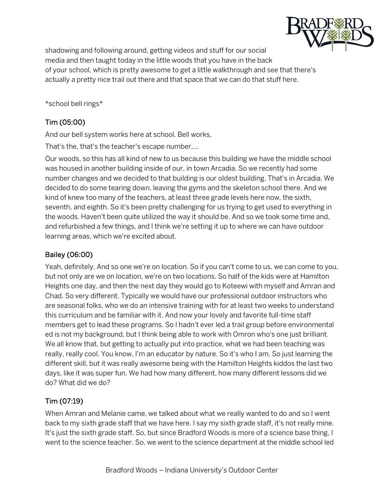

shadowing and following around, getting videos and stuff for our social media and then taught today in the little woods that you have in the back of your school, which is pretty awesome to get a little walkthrough and see that there's actually a pretty nice trail out there and that space that we can do that stuff here.

\*school bell rings\*

## Tim (05:00)

And our bell system works here at school. Bell works,

That's the, that's the teacher's escape number….

Our woods, so this has all kind of new to us because this building we have the middle school was housed in another building inside of our, in town Arcadia. So we recently had some number changes and we decided to that building is our oldest building. That's in Arcadia. We decided to do some tearing down, leaving the gyms and the skeleton school there. And we kind of knew too many of the teachers, at least three grade levels here now, the sixth, seventh, and eighth. So it's been pretty challenging for us trying to get used to everything in the woods. Haven't been quite utilized the way it should be. And so we took some time and, and refurbished a few things, and I think we're setting it up to where we can have outdoor learning areas, which we're excited about.

## Bailey (06:00)

Yeah, definitely. And so one we're on location. So if you can't come to us, we can come to you, but not only are we on location, we're on two locations. So half of the kids were at Hamilton Heights one day, and then the next day they would go to Koteewi with myself and Amran and Chad. So very different. Typically we would have our professional outdoor instructors who are seasonal folks, who we do an intensive training with for at least two weeks to understand this curriculum and be familiar with it. And now your lovely and favorite full-time staff members get to lead these programs. So I hadn't ever led a trail group before environmental ed is not my background, but I think being able to work with Omron who's one just brilliant. We all know that, but getting to actually put into practice, what we had been teaching was really, really cool. You know, I'm an educator by nature. So it's who I am. So just learning the different skill, but it was really awesome being with the Hamilton Heights kiddos the last two days, like it was super fun. We had how many different, how many different lessons did we do? What did we do?

## Tim (07:19)

When Amran and Melanie came, we talked about what we really wanted to do and so I went back to my sixth grade staff that we have here. I say my sixth grade staff, it's not really mine. It's just the sixth grade staff. So, but since Bradford Woods is more of a science base thing, I went to the science teacher. So, we went to the science department at the middle school led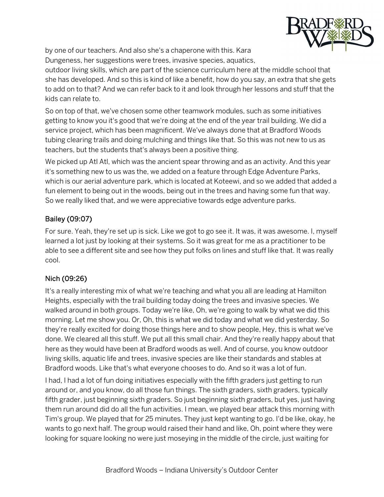

by one of our teachers. And also she's a chaperone with this. Kara Dungeness, her suggestions were trees, invasive species, aquatics,

outdoor living skills, which are part of the science curriculum here at the middle school that she has developed. And so this is kind of like a benefit, how do you say, an extra that she gets to add on to that? And we can refer back to it and look through her lessons and stuff that the kids can relate to.

So on top of that, we've chosen some other teamwork modules, such as some initiatives getting to know you it's good that we're doing at the end of the year trail building. We did a service project, which has been magnificent. We've always done that at Bradford Woods tubing clearing trails and doing mulching and things like that. So this was not new to us as teachers, but the students that's always been a positive thing.

We picked up Atl Atl, which was the ancient spear throwing and as an activity. And this year it's something new to us was the, we added on a feature through Edge Adventure Parks, which is our aerial adventure park, which is located at Koteewi, and so we added that added a fun element to being out in the woods, being out in the trees and having some fun that way. So we really liked that, and we were appreciative towards edge adventure parks.

## Bailey (09:07)

For sure. Yeah, they're set up is sick. Like we got to go see it. It was, it was awesome. I, myself learned a lot just by looking at their systems. So it was great for me as a practitioner to be able to see a different site and see how they put folks on lines and stuff like that. It was really cool.

## Nich (09:26)

It's a really interesting mix of what we're teaching and what you all are leading at Hamilton Heights, especially with the trail building today doing the trees and invasive species. We walked around in both groups. Today we're like, Oh, we're going to walk by what we did this morning. Let me show you. Or, Oh, this is what we did today and what we did yesterday. So they're really excited for doing those things here and to show people, Hey, this is what we've done. We cleared all this stuff. We put all this small chair. And they're really happy about that here as they would have been at Bradford woods as well. And of course, you know outdoor living skills, aquatic life and trees, invasive species are like their standards and stables at Bradford woods. Like that's what everyone chooses to do. And so it was a lot of fun.

I had, I had a lot of fun doing initiatives especially with the fifth graders just getting to run around or, and you know, do all those fun things. The sixth graders, sixth graders, typically fifth grader, just beginning sixth graders. So just beginning sixth graders, but yes, just having them run around did do all the fun activities. I mean, we played bear attack this morning with Tim's group. We played that for 25 minutes. They just kept wanting to go. I'd be like, okay, he wants to go next half. The group would raised their hand and like, Oh, point where they were looking for square looking no were just moseying in the middle of the circle, just waiting for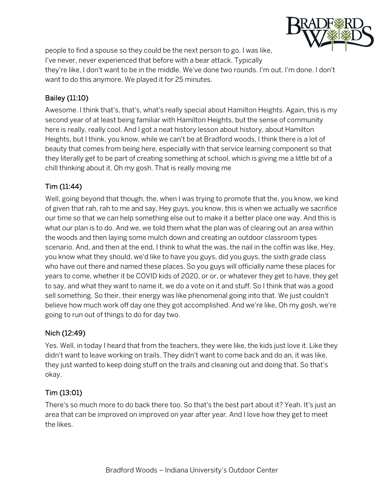

people to find a spouse so they could be the next person to go. I was like, I've never, never experienced that before with a bear attack. Typically they're like, I don't want to be in the middle. We've done two rounds. I'm out. I'm done. I don't want to do this anymore. We played it for 25 minutes.

### Bailey (11:10)

Awesome. I think that's, that's, what's really special about Hamilton Heights. Again, this is my second year of at least being familiar with Hamilton Heights, but the sense of community here is really, really cool. And I got a neat history lesson about history, about Hamilton Heights, but I think, you know, while we can't be at Bradford woods, I think there is a lot of beauty that comes from being here, especially with that service learning component so that they literally get to be part of creating something at school, which is giving me a little bit of a chill thinking about it. Oh my gosh. That is really moving me

## Tim (11:44)

Well, going beyond that though, the, when I was trying to promote that the, you know, we kind of given that rah, rah to me and say, Hey guys, you know, this is when we actually we sacrifice our time so that we can help something else out to make it a better place one way. And this is what our plan is to do. And we, we told them what the plan was of clearing out an area within the woods and then laying some mulch down and creating an outdoor classroom types scenario. And, and then at the end, I think to what the was, the nail in the coffin was like, Hey, you know what they should, we'd like to have you guys, did you guys, the sixth grade class who have out there and named these places. So you guys will officially name these places for years to come, whether it be COVID kids of 2020, or or, or whatever they get to have, they get to say, and what they want to name it, we do a vote on it and stuff. So I think that was a good sell something. So their, their energy was like phenomenal going into that. We just couldn't believe how much work off day one they got accomplished. And we're like, Oh my gosh, we're going to run out of things to do for day two.

#### Nich (12:49)

Yes. Well, in today I heard that from the teachers, they were like, the kids just love it. Like they didn't want to leave working on trails. They didn't want to come back and do an, it was like, they just wanted to keep doing stuff on the trails and cleaning out and doing that. So that's okay.

## Tim (13:01)

There's so much more to do back there too. So that's the best part about it? Yeah. It's just an area that can be improved on improved on year after year. And I love how they get to meet the likes.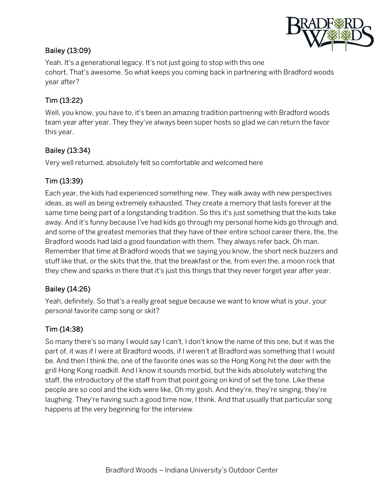

## Bailey (13:09)

Yeah. It's a generational legacy. It's not just going to stop with this one cohort. That's awesome. So what keeps you coming back in partnering with Bradford woods year after?

## Tim (13:22)

Well, you know, you have to, it's been an amazing tradition partnering with Bradford woods team year after year. They they've always been super hosts so glad we can return the favor this year.

#### Bailey (13:34)

Very well returned, absolutely felt so comfortable and welcomed here

## Tim (13:39)

Each year, the kids had experienced something new. They walk away with new perspectives ideas, as well as being extremely exhausted. They create a memory that lasts forever at the same time being part of a longstanding tradition. So this it's just something that the kids take away. And it's funny because I've had kids go through my personal home kids go through and, and some of the greatest memories that they have of their entire school career there, the, the Bradford woods had laid a good foundation with them. They always refer back, Oh man. Remember that time at Bradford woods that we saying you know, the short neck buzzers and stuff like that, or the skits that the, that the breakfast or the, from even the, a moon rock that they chew and sparks in there that it's just this things that they never forget year after year.

#### Bailey (14:26)

Yeah, definitely. So that's a really great segue because we want to know what is your, your personal favorite camp song or skit?

## Tim (14:38)

So many there's so many I would say I can't, I don't know the name of this one, but it was the part of, it was if I were at Bradford woods, if I weren't at Bradford was something that I would be. And then I think the, one of the favorite ones was so the Hong Kong hit the deer with the grill Hong Kong roadkill. And I know it sounds morbid, but the kids absolutely watching the staff, the introductory of the staff from that point going on kind of set the tone. Like these people are so cool and the kids were like, Oh my gosh. And they're, they're singing, they're laughing. They're having such a good time now, I think. And that usually that particular song happens at the very beginning for the interview.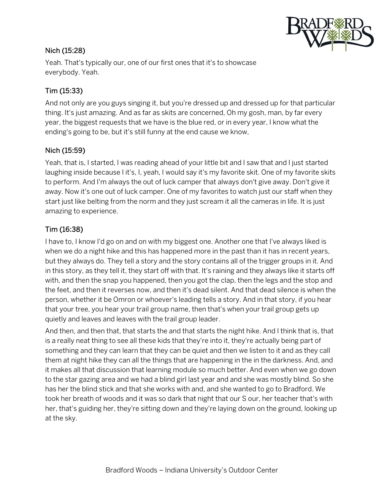

#### Nich (15:28)

Yeah. That's typically our, one of our first ones that it's to showcase everybody. Yeah.

## Tim (15:33)

And not only are you guys singing it, but you're dressed up and dressed up for that particular thing. It's just amazing. And as far as skits are concerned, Oh my gosh, man, by far every year, the biggest requests that we have is the blue red, or in every year, I know what the ending's going to be, but it's still funny at the end cause we know,

#### Nich (15:59)

Yeah, that is, I started, I was reading ahead of your little bit and I saw that and I just started laughing inside because I it's, I, yeah, I would say it's my favorite skit. One of my favorite skits to perform. And I'm always the out of luck camper that always don't give away. Don't give it away. Now it's one out of luck camper. One of my favorites to watch just our staff when they start just like belting from the norm and they just scream it all the cameras in life. It is just amazing to experience.

## Tim (16:38)

I have to, I know I'd go on and on with my biggest one. Another one that I've always liked is when we do a night hike and this has happened more in the past than it has in recent years, but they always do. They tell a story and the story contains all of the trigger groups in it. And in this story, as they tell it, they start off with that. It's raining and they always like it starts off with, and then the snap you happened, then you got the clap, then the legs and the stop and the feet, and then it reverses now, and then it's dead silent. And that dead silence is when the person, whether it be Omron or whoever's leading tells a story. And in that story, if you hear that your tree, you hear your trail group name, then that's when your trail group gets up quietly and leaves and leaves with the trail group leader.

And then, and then that, that starts the and that starts the night hike. And I think that is, that is a really neat thing to see all these kids that they're into it, they're actually being part of something and they can learn that they can be quiet and then we listen to it and as they call them at night hike they can all the things that are happening in the in the darkness. And, and it makes all that discussion that learning module so much better. And even when we go down to the star gazing area and we had a blind girl last year and and she was mostly blind. So she has her the blind stick and that she works with and, and she wanted to go to Bradford. We took her breath of woods and it was so dark that night that our S our, her teacher that's with her, that's guiding her, they're sitting down and they're laying down on the ground, looking up at the sky.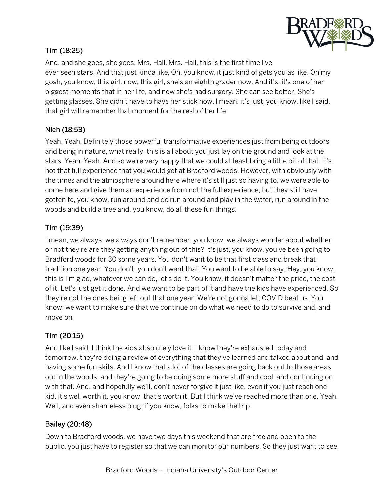

## Tim (18:25)

And, and she goes, she goes, Mrs. Hall, Mrs. Hall, this is the first time I've ever seen stars. And that just kinda like, Oh, you know, it just kind of gets you as like, Oh my gosh, you know, this girl, now, this girl, she's an eighth grader now. And it's, it's one of her biggest moments that in her life, and now she's had surgery. She can see better. She's getting glasses. She didn't have to have her stick now. I mean, it's just, you know, like I said, that girl will remember that moment for the rest of her life.

#### Nich (18:53)

Yeah. Yeah. Definitely those powerful transformative experiences just from being outdoors and being in nature, what really, this is all about you just lay on the ground and look at the stars. Yeah. Yeah. And so we're very happy that we could at least bring a little bit of that. It's not that full experience that you would get at Bradford woods. However, with obviously with the times and the atmosphere around here where it's still just so having to, we were able to come here and give them an experience from not the full experience, but they still have gotten to, you know, run around and do run around and play in the water, run around in the woods and build a tree and, you know, do all these fun things.

## Tim (19:39)

I mean, we always, we always don't remember, you know, we always wonder about whether or not they're are they getting anything out of this? It's just, you know, you've been going to Bradford woods for 30 some years. You don't want to be that first class and break that tradition one year. You don't, you don't want that. You want to be able to say, Hey, you know, this is I'm glad, whatever we can do, let's do it. You know, it doesn't matter the price, the cost of it. Let's just get it done. And we want to be part of it and have the kids have experienced. So they're not the ones being left out that one year. We're not gonna let, COVID beat us. You know, we want to make sure that we continue on do what we need to do to survive and, and move on.

## Tim (20:15)

And like I said, I think the kids absolutely love it. I know they're exhausted today and tomorrow, they're doing a review of everything that they've learned and talked about and, and having some fun skits. And I know that a lot of the classes are going back out to those areas out in the woods, and they're going to be doing some more stuff and cool, and continuing on with that. And, and hopefully we'll, don't never forgive it just like, even if you just reach one kid, it's well worth it, you know, that's worth it. But I think we've reached more than one. Yeah. Well, and even shameless plug, if you know, folks to make the trip

#### Bailey (20:48)

Down to Bradford woods, we have two days this weekend that are free and open to the public, you just have to register so that we can monitor our numbers. So they just want to see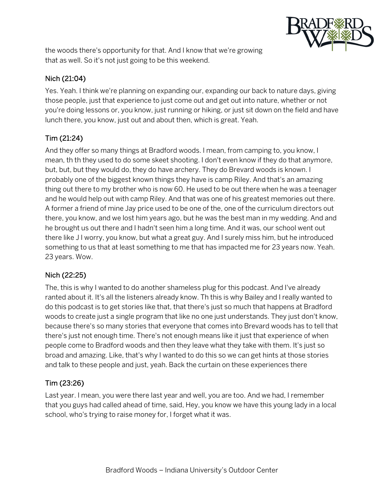

the woods there's opportunity for that. And I know that we're growing that as well. So it's not just going to be this weekend.

#### Nich (21:04)

Yes. Yeah. I think we're planning on expanding our, expanding our back to nature days, giving those people, just that experience to just come out and get out into nature, whether or not you're doing lessons or, you know, just running or hiking, or just sit down on the field and have lunch there, you know, just out and about then, which is great. Yeah.

## Tim (21:24)

And they offer so many things at Bradford woods. I mean, from camping to, you know, I mean, th th they used to do some skeet shooting. I don't even know if they do that anymore, but, but, but they would do, they do have archery. They do Brevard woods is known. I probably one of the biggest known things they have is camp Riley. And that's an amazing thing out there to my brother who is now 60. He used to be out there when he was a teenager and he would help out with camp Riley. And that was one of his greatest memories out there. A former a friend of mine Jay price used to be one of the, one of the curriculum directors out there, you know, and we lost him years ago, but he was the best man in my wedding. And and he brought us out there and I hadn't seen him a long time. And it was, our school went out there like J I worry, you know, but what a great guy. And I surely miss him, but he introduced something to us that at least something to me that has impacted me for 23 years now. Yeah. 23 years. Wow.

#### Nich (22:25)

The, this is why I wanted to do another shameless plug for this podcast. And I've already ranted about it. It's all the listeners already know. Th this is why Bailey and I really wanted to do this podcast is to get stories like that, that there's just so much that happens at Bradford woods to create just a single program that like no one just understands. They just don't know, because there's so many stories that everyone that comes into Brevard woods has to tell that there's just not enough time. There's not enough means like it just that experience of when people come to Bradford woods and then they leave what they take with them. It's just so broad and amazing. Like, that's why I wanted to do this so we can get hints at those stories and talk to these people and just, yeah. Back the curtain on these experiences there

## Tim (23:26)

Last year. I mean, you were there last year and well, you are too. And we had, I remember that you guys had called ahead of time, said, Hey, you know we have this young lady in a local school, who's trying to raise money for, I forget what it was.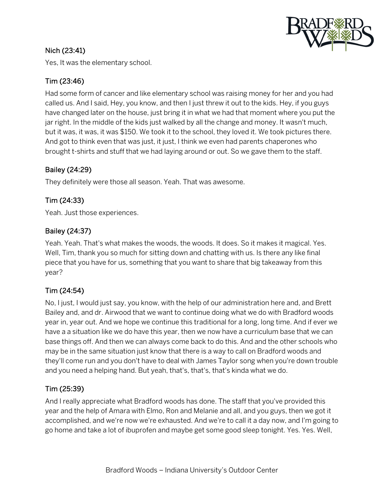

#### Nich (23:41)

Yes, It was the elementary school.

## Tim (23:46)

Had some form of cancer and like elementary school was raising money for her and you had called us. And I said, Hey, you know, and then I just threw it out to the kids. Hey, if you guys have changed later on the house, just bring it in what we had that moment where you put the jar right. In the middle of the kids just walked by all the change and money. It wasn't much, but it was, it was, it was \$150. We took it to the school, they loved it. We took pictures there. And got to think even that was just, it just, I think we even had parents chaperones who brought t-shirts and stuff that we had laying around or out. So we gave them to the staff.

## Bailey (24:29)

They definitely were those all season. Yeah. That was awesome.

## Tim (24:33)

Yeah. Just those experiences.

#### Bailey (24:37)

Yeah. Yeah. That's what makes the woods, the woods. It does. So it makes it magical. Yes. Well, Tim, thank you so much for sitting down and chatting with us. Is there any like final piece that you have for us, something that you want to share that big takeaway from this year?

## Tim (24:54)

No, I just, I would just say, you know, with the help of our administration here and, and Brett Bailey and, and dr. Airwood that we want to continue doing what we do with Bradford woods year in, year out. And we hope we continue this traditional for a long, long time. And if ever we have a a situation like we do have this year, then we now have a curriculum base that we can base things off. And then we can always come back to do this. And and the other schools who may be in the same situation just know that there is a way to call on Bradford woods and they'll come run and you don't have to deal with James Taylor song when you're down trouble and you need a helping hand. But yeah, that's, that's, that's kinda what we do.

## Tim (25:39)

And I really appreciate what Bradford woods has done. The staff that you've provided this year and the help of Amara with Elmo, Ron and Melanie and all, and you guys, then we got it accomplished, and we're now we're exhausted. And we're to call it a day now, and I'm going to go home and take a lot of ibuprofen and maybe get some good sleep tonight. Yes. Yes. Well,